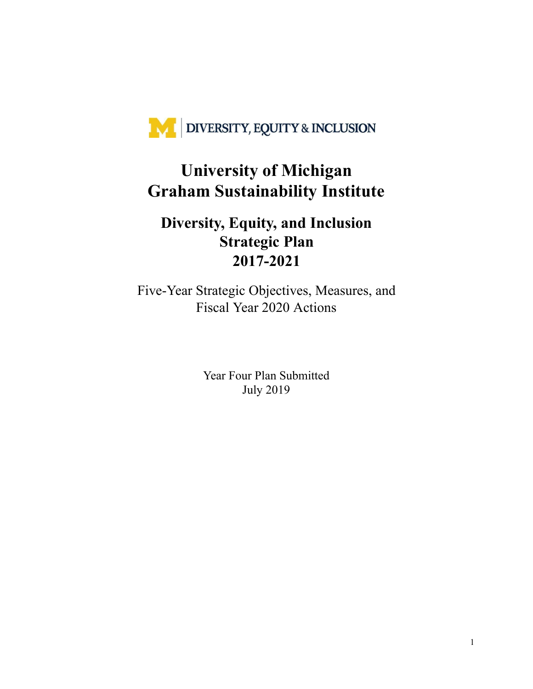

# **University of Michigan Graham Sustainability Institute**

# **Diversity, Equity, and Inclusion Strategic Plan 2017-2021**

Five-Year Strategic Objectives, Measures, and Fiscal Year 2020 Actions

> Year Four Plan Submitted July 2019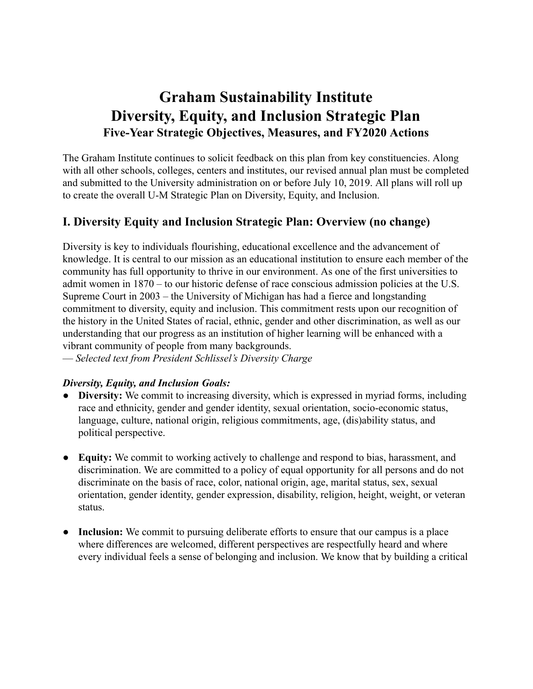# **Graham Sustainability Institute Diversity, Equity, and Inclusion Strategic Plan Five-Year Strategic Objectives, Measures, and FY2020 Actions**

The Graham Institute continues to solicit feedback on this plan from key constituencies. Along with all other schools, colleges, centers and institutes, our revised annual plan must be completed and submitted to the University administration on or before July 10, 2019. All plans will roll up to create the overall U-M Strategic Plan on Diversity, Equity, and Inclusion.

# **I. Diversity Equity and Inclusion Strategic Plan: Overview (no change)**

Diversity is key to individuals flourishing, educational excellence and the advancement of knowledge. It is central to our mission as an educational institution to ensure each member of the community has full opportunity to thrive in our environment. As one of the first universities to admit women in 1870 – to our historic defense of race conscious admission policies at the U.S. Supreme Court in 2003 – the University of Michigan has had a fierce and longstanding commitment to diversity, equity and inclusion. This commitment rests upon our recognition of the history in the United States of racial, ethnic, gender and other discrimination, as well as our understanding that our progress as an institution of higher learning will be enhanced with a vibrant community of people from many backgrounds.

— *Selected text from President Schlissel's Diversity Charge*

#### *Diversity, Equity, and Inclusion Goals:*

- **Diversity:** We commit to increasing diversity, which is expressed in myriad forms, including race and ethnicity, gender and gender identity, sexual orientation, socio-economic status, language, culture, national origin, religious commitments, age, (dis)ability status, and political perspective.
- **Equity:** We commit to working actively to challenge and respond to bias, harassment, and discrimination. We are committed to a policy of equal opportunity for all persons and do not discriminate on the basis of race, color, national origin, age, marital status, sex, sexual orientation, gender identity, gender expression, disability, religion, height, weight, or veteran status.
- **Inclusion:** We commit to pursuing deliberate efforts to ensure that our campus is a place where differences are welcomed, different perspectives are respectfully heard and where every individual feels a sense of belonging and inclusion. We know that by building a critical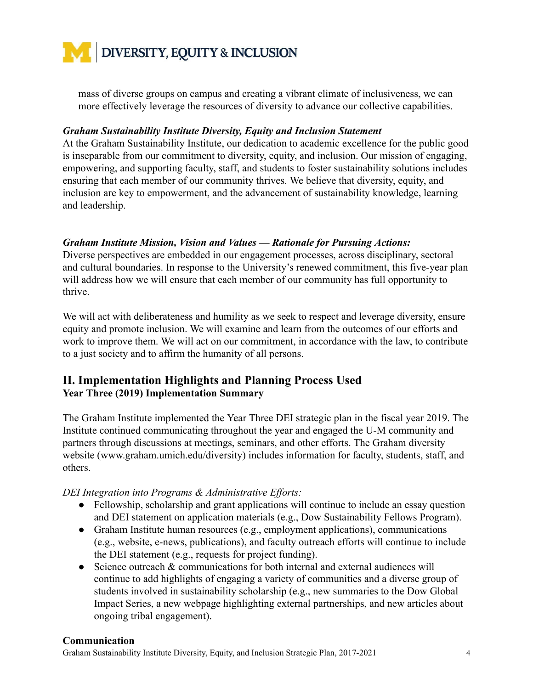

mass of diverse groups on campus and creating a vibrant climate of inclusiveness, we can more effectively leverage the resources of diversity to advance our collective capabilities.

#### *Graham Sustainability Institute Diversity, Equity and Inclusion Statement*

At the Graham Sustainability Institute, our dedication to academic excellence for the public good is inseparable from our commitment to diversity, equity, and inclusion. Our mission of engaging, empowering, and supporting faculty, staff, and students to foster sustainability solutions includes ensuring that each member of our community thrives. We believe that diversity, equity, and inclusion are key to empowerment, and the advancement of sustainability knowledge, learning and leadership.

#### *Graham Institute Mission, Vision and Values — Rationale for Pursuing Actions:*

Diverse perspectives are embedded in our engagement processes, across disciplinary, sectoral and cultural boundaries. In response to the University's renewed commitment, this five-year plan will address how we will ensure that each member of our community has full opportunity to thrive.

We will act with deliberateness and humility as we seek to respect and leverage diversity, ensure equity and promote inclusion. We will examine and learn from the outcomes of our efforts and work to improve them. We will act on our commitment, in accordance with the law, to contribute to a just society and to affirm the humanity of all persons.

## **II. Implementation Highlights and Planning Process Used Year Three (2019) Implementation Summary**

The Graham Institute implemented the Year Three DEI strategic plan in the fiscal year 2019. The Institute continued communicating throughout the year and engaged the U-M community and partners through discussions at meetings, seminars, and other efforts. The Graham diversity website (www.graham.umich.edu/diversity) includes information for faculty, students, staff, and others.

*DEI Integration into Programs & Administrative Efforts:*

- Fellowship, scholarship and grant applications will continue to include an essay question and DEI statement on application materials (e.g., Dow Sustainability Fellows Program).
- Graham Institute human resources (e.g., employment applications), communications (e.g., website, e-news, publications), and faculty outreach efforts will continue to include the DEI statement (e.g., requests for project funding).
- Science outreach & communications for both internal and external audiences will continue to add highlights of engaging a variety of communities and a diverse group of students involved in sustainability scholarship (e.g., new summaries to the Dow Global Impact Series, a new webpage highlighting external partnerships, and new articles about ongoing tribal engagement).

#### **Communication**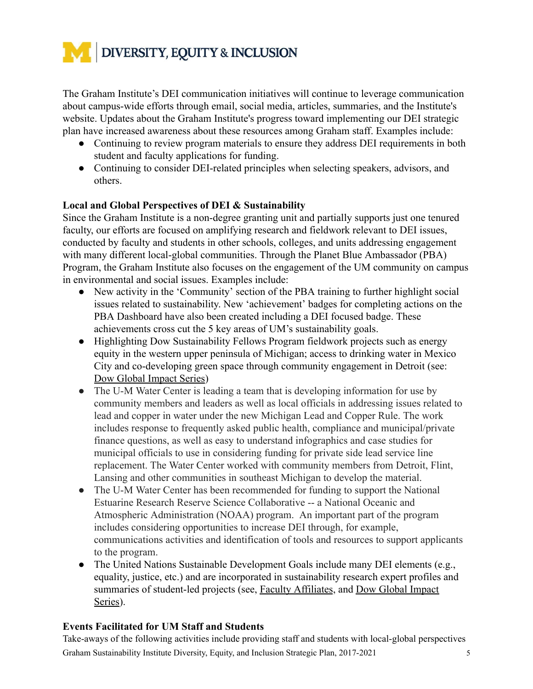

The Graham Institute's DEI communication initiatives will continue to leverage communication about campus-wide efforts through email, social media, articles, summaries, and the Institute's website. Updates about the Graham Institute's progress toward implementing our DEI strategic plan have increased awareness about these resources among Graham staff. Examples include:

- Continuing to review program materials to ensure they address DEI requirements in both student and faculty applications for funding.
- Continuing to consider DEI-related principles when selecting speakers, advisors, and others.

#### **Local and Global Perspectives of DEI & Sustainability**

Since the Graham Institute is a non-degree granting unit and partially supports just one tenured faculty, our efforts are focused on amplifying research and fieldwork relevant to DEI issues, conducted by faculty and students in other schools, colleges, and units addressing engagement with many different local-global communities. Through the Planet Blue Ambassador (PBA) Program, the Graham Institute also focuses on the engagement of the UM community on campus in environmental and social issues. Examples include:

- New activity in the 'Community' section of the PBA training to further highlight social issues related to sustainability. New 'achievement' badges for completing actions on the PBA Dashboard have also been created including a DEI focused badge. These achievements cross cut the 5 key areas of UM's sustainability goals.
- Highlighting Dow Sustainability Fellows Program fieldwork projects such as energy equity in the western upper peninsula of Michigan; access to drinking water in Mexico City and co-developing green space through community engagement in Detroit (see: Dow Global Impact Series)
- The U-M Water Center is leading a team that is developing information for use by community members and leaders as well as local officials in addressing issues related to lead and copper in water under the new Michigan Lead and Copper Rule. The work includes response to frequently asked public health, compliance and municipal/private finance questions, as well as easy to understand infographics and case studies for municipal officials to use in considering funding for private side lead service line replacement. The Water Center worked with community members from Detroit, Flint, Lansing and other communities in southeast Michigan to develop the material.
- The U-M Water Center has been recommended for funding to support the National Estuarine Research Reserve Science Collaborative -- a National Oceanic and Atmospheric Administration (NOAA) program. An important part of the program includes considering opportunities to increase DEI through, for example, communications activities and identification of tools and resources to support applicants to the program.
- The United Nations Sustainable Development Goals include many DEI elements (e.g., equality, justice, etc.) and are incorporated in sustainability research expert profiles and summaries of student-led projects (see, [Faculty Affiliates](http://graham.umich.edu/faculty-affiliates), and [Dow Global Impact](http://sustainability.umich.edu/dow/media/global-impact-series) [Series](http://sustainability.umich.edu/dow/media/global-impact-series)).

## **Events Facilitated for UM Staff and Students**

Take-aways of the following activities include providing staff and students with local-global perspectives Graham Sustainability Institute Diversity, Equity, and Inclusion Strategic Plan, 2017-2021 5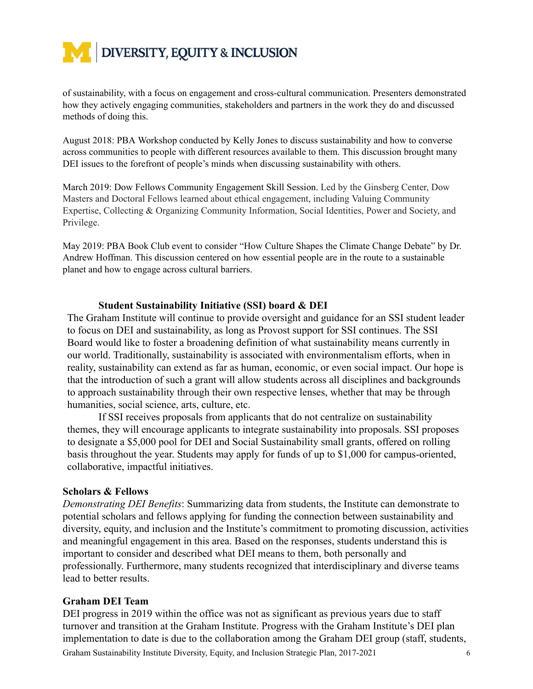

of sustainability, with a focus on engagement and cross-cultural communication. Presenters demonstrated how they actively engaging communities, stakeholders and partners in the work they do and discussed methods of doing this.

August 2018: PBA Workshop conducted by Kelly Jones to discuss sustainability and how to converse across communities to people with different resources available to them. This discussion brought many DEI issues to the forefront of people's minds when discussing sustainability with others.

March 2019: Dow Fellows Community Engagement Skill Session. Led by the Ginsberg Center, Dow Masters and Doctoral Fellows learned about ethical engagement, including Valuing Community Expertise, Collecting & Organizing Community Information, Social Identities, Power and Society, and Privilege.

May 2019: PBA Book Club event to consider "How Culture Shapes the Climate Change Debate" by Dr. Andrew Hoffman. This discussion centered on how essential people are in the route to a sustainable planet and how to engage across cultural barriers.

#### **Student Sustainability Initiative (SSI) board & DEI**

The Graham Institute will continue to provide oversight and guidance for an SSI student leader to focus on DEI and sustainability, as long as Provost support for SSI continues. The SSI Board would like to foster a broadening definition of what sustainability means currently in our world. Traditionally, sustainability is associated with environmentalism efforts, when in reality, sustainability can extend as far as human, economic, or even social impact. Our hope is that the introduction of such a grant will allow students across all disciplines and backgrounds to approach sustainability through their own respective lenses, whether that may be through humanities, social science, arts, culture, etc.

If SSI receives proposals from applicants that do not centralize on sustainability themes, they will encourage applicants to integrate sustainability into proposals. SSI proposes to designate a \$5,000 pool for DEI and Social Sustainability small grants, offered on rolling basis throughout the year. Students may apply for funds of up to \$1,000 for campus-oriented, collaborative, impactful initiatives.

#### **Scholars & Fellows**

*Demonstrating DEI Benefits* : Summarizing data from students, the Institute can demonstrate to potential scholars and fellows applying for funding the connection between sustainability and diversity, equity, and inclusion and the Institute's commitment to promoting discussion, activities and meaningful engagement in this area. Based on the responses, students understand this is important to consider and described what DEI means to them, both personally and professionally. Furthermore, many students recognized that interdisciplinary and diverse teams lead to better results.

#### **Graham DEI Team**

DEI progress in 2019 within the office was not as significant as previous years due to staff turnover and transition at the Graham Institute. Progress with the Graham Institute's DEI plan implementation to date is due to the collaboration among the Graham DEI group (staff, students, Graham Sustainability Institute Diversity, Equity, and Inclusion Strategic Plan, 2017-2021 6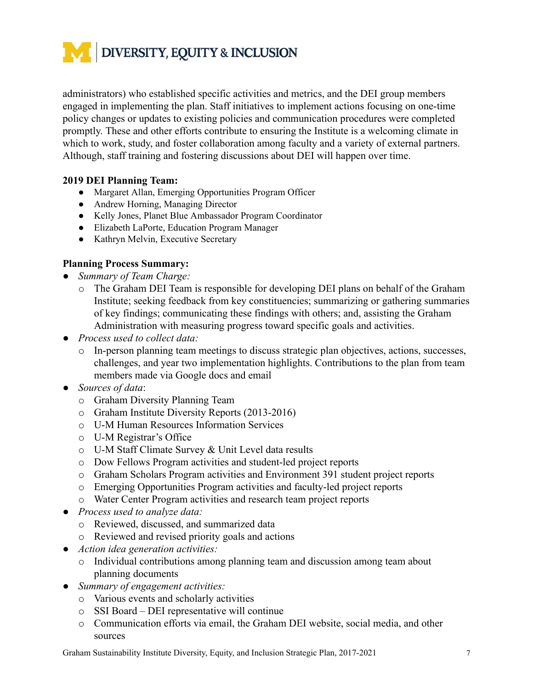

administrators) who established specific activities and metrics, and the DEI group members engaged in implementing the plan. Staff initiatives to implement actions focusing on one-time policy changes or updates to existing policies and communication procedures were completed promptly. These and other efforts contribute to ensuring the Institute is a welcoming climate in which to work, study, and foster collaboration among faculty and a variety of external partners. Although, staff training and fostering discussions about DEI will happen over time.

#### **2019 DEI Planning Team:**

- Margaret Allan, Emerging Opportunities Program Officer
- Andrew Horning, Managing Director
- Kelly Jones, Planet Blue Ambassador Program Coordinator
- Elizabeth LaPorte, Education Program Manager
- Kathryn Melvin, Executive Secretary

#### **Planning Process Summary:**

- *● Summary of Team Charge:*
	- o The Graham DEI Team is responsible for developing DEI plans on behalf of the Graham Institute; seeking feedback from key constituencies; summarizing or gathering summaries of key findings; communicating these findings with others; and, assisting the Graham Administration with measuring progress toward specific goals and activities.
- *● Process used to collect data:*
	- o In-person planning team meetings to discuss strategic plan objectives, actions, successes, challenges, and year two implementation highlights. Contributions to the plan from team members made via Google docs and email
- *Sources of data* :
	- o Graham Diversity Planning Team
	- o Graham Institute Diversity Reports (2013-2016)
	- o U-M Human Resources Information Services
	- o U-M Registrar's Office
	- o U-M Staff Climate Survey & Unit Level data results
	- o Dow Fellows Program activities and student-led project reports
	- o Graham Scholars Program activities and Environment 391 student project reports
	- o Emerging Opportunities Program activities and faculty-led project reports
	- o Water Center Program activities and research team project reports
- *● Process used to analyze data:*
	- o Reviewed, discussed, and summarized data
	- o Reviewed and revised priority goals and actions
- *● Action idea generation activities:*
	- o Individual contributions among planning team and discussion among team about planning documents
- *● Summary of engagement activities:*
	- o Various events and scholarly activities
	- o SSI Board DEI representative will continue
	- o Communication efforts via email, the Graham DEI website, social media, and other sources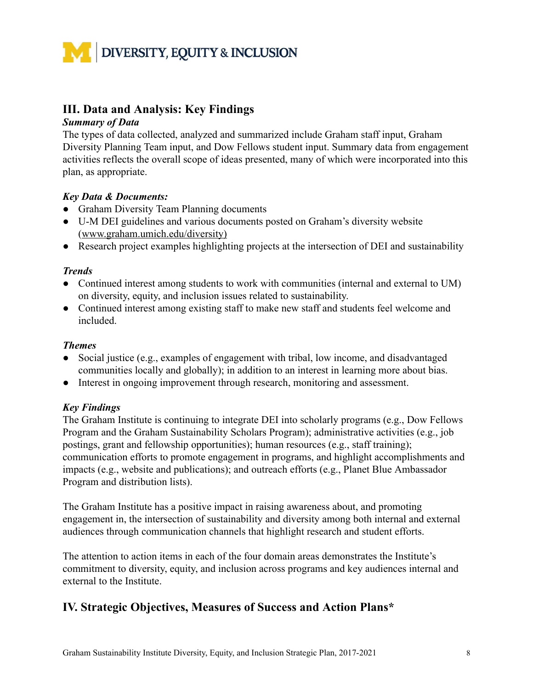

# **III. Data and Analysis: Key Findings**

#### *Summary of Data*

The types of data collected, analyzed and summarized include Graham staff input, Graham Diversity Planning Team input, and Dow Fellows student input. Summary data from engagement activities reflects the overall scope of ideas presented, many of which were incorporated into this plan, as appropriate.

#### *Key Data & Documents:*

- Graham Diversity Team Planning documents
- U-M DEI guidelines and various documents posted on Graham's diversity website ( [www.graham.umich.edu/diversity\)](http://www.graham.umich.edu/diversity))
- Research project examples highlighting projects at the intersection of DEI and sustainability

#### *Trends*

- Continued interest among students to work with communities (internal and external to UM) on diversity, equity, and inclusion issues related to sustainability.
- Continued interest among existing staff to make new staff and students feel welcome and included.

#### *Themes*

- Social justice (e.g., examples of engagement with tribal, low income, and disadvantaged communities locally and globally); in addition to an interest in learning more about bias.
- Interest in ongoing improvement through research, monitoring and assessment.

#### *Key Findings*

The Graham Institute is continuing to integrate DEI into scholarly programs (e.g., Dow Fellows Program and the Graham Sustainability Scholars Program); administrative activities (e.g., job postings, grant and fellowship opportunities); human resources (e.g., staff training); communication efforts to promote engagement in programs, and highlight accomplishments and impacts (e.g., website and publications); and outreach efforts (e.g., Planet Blue Ambassador Program and distribution lists).

The Graham Institute has a positive impact in raising awareness about, and promoting engagement in, the intersection of sustainability and diversity among both internal and external audiences through communication channels that highlight research and student efforts.

The attention to action items in each of the four domain areas demonstrates the Institute's commitment to diversity, equity, and inclusion across programs and key audiences internal and external to the Institute.

# **IV. Strategic Objectives, Measures of Success and Action Plans\***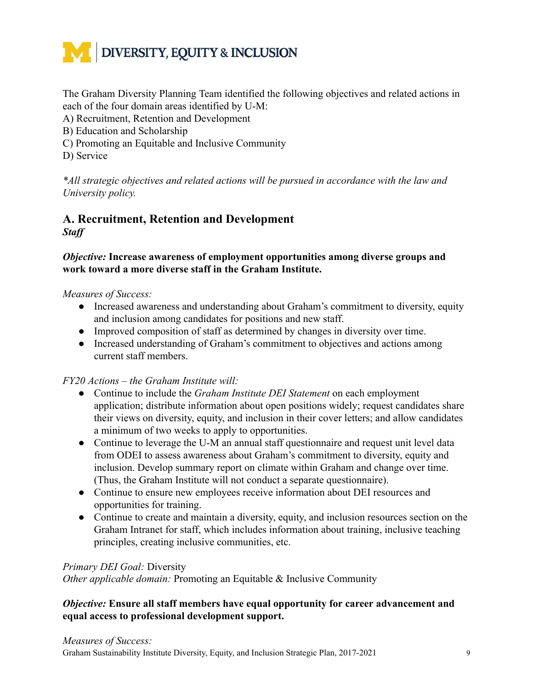

The Graham Diversity Planning Team identified the following objectives and related actions in each of the four domain areas identified by U-M:

- A) Recruitment, Retention and Development
- B) Education and Scholarship
- C) Promoting an Equitable and Inclusive Community
- D) Service

*\*All strategic objectives and related actions will be pursued in accordance with the law and University policy.*

# **A. Recruitment, Retention and Development** *Staff*

#### *Objective:* **Increase awareness of employment opportunities among diverse groups and work toward a more diverse staff in the Graham Institute.**

#### *Measures of Success:*

- *●* Increased awareness and understanding about Graham's commitment to diversity, equity and inclusion among candidates for positions and new staff.
- *●* Improved composition of staff as determined by changes in diversity over time.
- *●* Increased understanding of Graham's commitment to objectives and actions among current staff members.

#### *FY20 Actions – the Graham Institute will:*

- Continue to include the *Graham Institute DEI Statement* on each employment application; distribute information about open positions widely; request candidates share their views on diversity, equity, and inclusion in their cover letters; and allow candidates a minimum of two weeks to apply to opportunities.
- Continue to leverage the U-M an annual staff questionnaire and request unit level data from ODEI to assess awareness about Graham's commitment to diversity, equity and inclusion. Develop summary report on climate within Graham and change over time. (Thus, the Graham Institute will not conduct a separate questionnaire).
- Continue to ensure new employees receive information about DEI resources and opportunities for training.
- Continue to create and maintain a diversity, equity, and inclusion resources section on the Graham Intranet for staff, which includes information about training, inclusive teaching principles, creating inclusive communities, etc.

#### *Primary DEI Goal:* Diversity

*Other applicable domain:* Promoting an Equitable & Inclusive Community

#### *Objective:* **Ensure all staff members have equal opportunity for career advancement and equal access to professional development support.**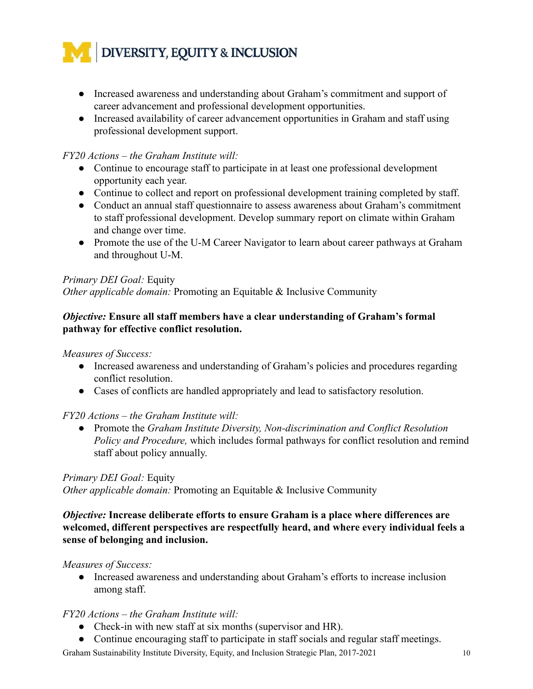

- *●* Increased awareness and understanding about Graham's commitment and support of career advancement and professional development opportunities.
- *●* Increased availability of career advancement opportunities in Graham and staff using professional development support.

#### *FY20 Actions – the Graham Institute will:*

- Continue to encourage staff to participate in at least one professional development opportunity each year.
- *●* Continue to collect and report on professional development training completed by staff.
- Conduct an annual staff questionnaire to assess awareness about Graham's commitment to staff professional development. Develop summary report on climate within Graham and change over time.
- Promote the use of the U-M Career Navigator to learn about career pathways at Graham and throughout U-M.

#### *Primary DEI Goal:* Equity

*Other applicable domain:* Promoting an Equitable & Inclusive Community

#### *Objective:* **Ensure all staff members have a clear understanding of Graham's formal pathway for effective conflict resolution.**

*Measures of Success:*

- *●* Increased awareness and understanding of Graham's policies and procedures regarding conflict resolution.
- *●* Cases of conflicts are handled appropriately and lead to satisfactory resolution.

#### *FY20 Actions – the Graham Institute will:*

● Promote the *Graham Institute Diversity, Non-discrimination and Conflict Resolution Policy and Procedure,* which includes formal pathways for conflict resolution and remind staff about policy annually.

#### *Primary DEI Goal:* Equity

*Other applicable domain:* Promoting an Equitable & Inclusive Community

#### *Objective:* **Increase deliberate efforts to ensure Graham is a place where differences are welcomed, different perspectives are respectfully heard, and where every individual feels a sense of belonging and inclusion.**

#### *Measures of Success:*

*●* Increased awareness and understanding about Graham's efforts to increase inclusion among staff.

#### *FY20 Actions – the Graham Institute will:*

- Check-in with new staff at six months (supervisor and HR).
- Continue encouraging staff to participate in staff socials and regular staff meetings.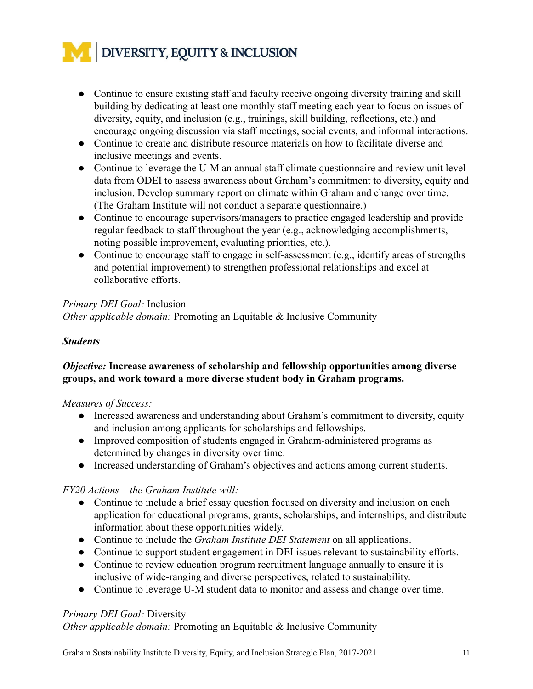# DIVERSITY, EQUITY & INCLUSION

- Continue to ensure existing staff and faculty receive ongoing diversity training and skill building by dedicating at least one monthly staff meeting each year to focus on issues of diversity, equity, and inclusion (e.g., trainings, skill building, reflections, etc.) and encourage ongoing discussion via staff meetings, social events, and informal interactions.
- Continue to create and distribute resource materials on how to facilitate diverse and inclusive meetings and events.
- Continue to leverage the U-M an annual staff climate questionnaire and review unit level data from ODEI to assess awareness about Graham's commitment to diversity, equity and inclusion. Develop summary report on climate within Graham and change over time. (The Graham Institute will not conduct a separate questionnaire.)
- Continue to encourage supervisors/managers to practice engaged leadership and provide regular feedback to staff throughout the year (e.g., acknowledging accomplishments, noting possible improvement, evaluating priorities, etc.).
- Continue to encourage staff to engage in self-assessment (e.g., identify areas of strengths and potential improvement) to strengthen professional relationships and excel at collaborative efforts.

## *Primary DEI Goal:* Inclusion

*Other applicable domain:* Promoting an Equitable & Inclusive Community

#### *Students*

#### *Objective:* **Increase awareness of scholarship and fellowship opportunities among diverse groups, and work toward a more diverse student body in Graham programs.**

#### *Measures of Success:*

- *●* Increased awareness and understanding about Graham's commitment to diversity, equity and inclusion among applicants for scholarships and fellowships.
- *●* Improved composition of students engaged in Graham-administered programs as determined by changes in diversity over time.
- *●* Increased understanding of Graham's objectives and actions among current students.

## *FY20 Actions – the Graham Institute will:*

- Continue to include a brief essay question focused on diversity and inclusion on each application for educational programs, grants, scholarships, and internships, and distribute information about these opportunities widely.
- Continue to i nclude the *Graham Institute DEI Statement* on all applications.
- Continue to support student engagement in DEI issues relevant to sustainability efforts.
- Continue to review education program recruitment language annually to ensure it is inclusive of wide-ranging and diverse perspectives, related to sustainability.
- Continue to leverage U-M student data to monitor and assess and change over time.

## *Primary DEI Goal:* Diversity

*Other applicable domain:* Promoting an Equitable & Inclusive Community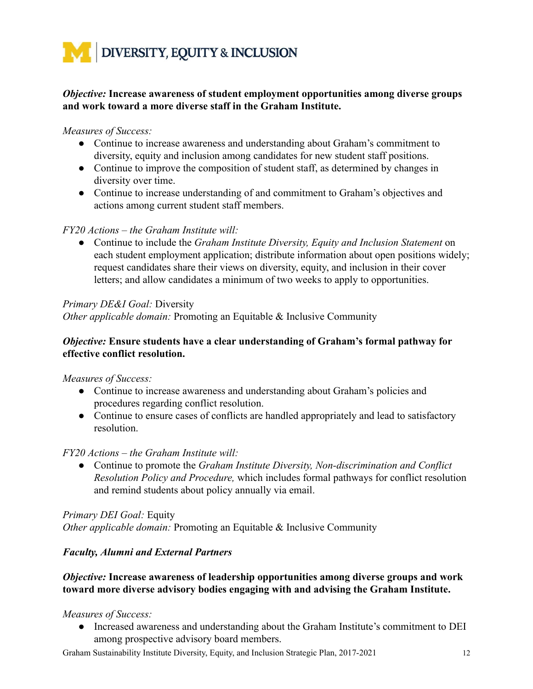

#### *Objective:* **Increase awareness of student employment opportunities among diverse groups and work toward a more diverse staff in the Graham Institute.**

#### *Measures of Success:*

- *●* Continue to increase awareness and understanding about Graham's commitment to diversity, equity and inclusion among candidates for new student staff positions.
- *●* Continue to improve the composition of student staff, as determined by changes in diversity over time.
- *●* Continue to increase understanding of and commitment to Graham's objectives and actions among current student staff members.

#### *FY20 Actions – the Graham Institute will:*

**●** Continue to include the *Graham Institute Diversity, Equity and Inclusion Statement* on each student employment application; distribute information about open positions widely; request candidates share their views on diversity, equity, and inclusion in their cover letters; and allow candidates a minimum of two weeks to apply to opportunities.

#### *Primary DE&I Goal:* Diversity

*Other applicable domain:* Promoting an Equitable & Inclusive Community

#### *Objective:* **Ensure students have a clear understanding of Graham's formal pathway for effective conflict resolution.**

#### *Measures of Success:*

- *●* Continue to increase awareness and understanding about Graham's policies and procedures regarding conflict resolution.
- *●* Continue to ensure cases of conflicts are handled appropriately and lead to satisfactory resolution.

#### *FY20 Actions – the Graham Institute will:*

● Continue to promote the *Graham Institute Diversity, Non-discrimination and Conflict Resolution Policy and Procedure,* which includes formal pathways for conflict resolution and remind students about policy annually via email.

*Primary DEI Goal:* Equity *Other applicable domain:* Promoting an Equitable & Inclusive Community

#### *Faculty, Alumni and External Partners*

#### *Objective:* **Increase awareness of leadership opportunities among diverse groups and work toward more diverse advisory bodies engaging with and advising the Graham Institute.**

#### *Measures of Success:*

*●* Increased awareness and understanding about the Graham Institute's commitment to DEI among prospective advisory board members.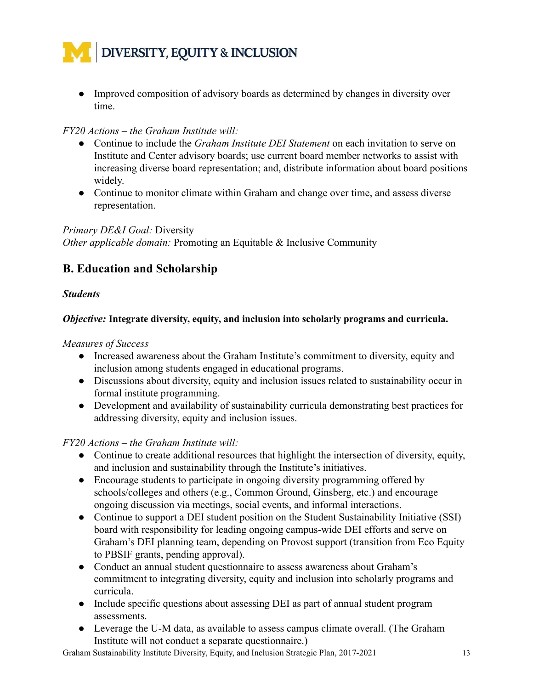

*●* Improved composition of advisory boards as determined by changes in diversity over time.

#### *FY20 Actions – the Graham Institute will:*

- Continue to include the *Graham Institute DEI Statement* on each invitation to serve on Institute and Center advisory boards; use current board member networks to assist with increasing diverse board representation; and, distribute information about board positions widely.
- Continue to monitor climate within Graham and change over time, and assess diverse representation.

#### *Primary DE&I Goal:* Diversity

*Other applicable domain:* Promoting an Equitable & Inclusive Community

# **B. Education and Scholarship**

#### *Students*

#### *Objective:* **Integrate diversity, equity, and inclusion into scholarly programs and curricula.**

*Measures of Success*

- *●* Increased awareness about the Graham Institute's commitment to diversity, equity and inclusion among students engaged in educational programs.
- *●* Discussions about diversity, equity and inclusion issues related to sustainability occur in formal institute programming.
- *●* Development and availability of sustainability curricula demonstrating best practices for addressing diversity, equity and inclusion issues.

*FY20 Actions – the Graham Institute will:*

- Continue to create additional resources that highlight the intersection of diversity, equity, and inclusion and sustainability through the Institute's initiatives.
- Encourage students to participate in ongoing diversity programming offered by schools/colleges and others (e.g., Common Ground, Ginsberg, etc.) and encourage ongoing discussion via meetings, social events, and informal interactions.
- Continue to support a DEI student position on the Student Sustainability Initiative (SSI) board with responsibility for leading ongoing campus-wide DEI efforts and serve on Graham's DEI planning team, depending on Provost support (transition from Eco Equity to PBSIF grants, pending approval).
- Conduct an annual student questionnaire to assess awareness about Graham's commitment to integrating diversity, equity and inclusion into scholarly programs and curricula.
- Include specific questions about assessing DEI as part of annual student program assessments.
- Leverage the U-M data, as available to assess campus climate overall. (The Graham Institute will not conduct a separate questionnaire.)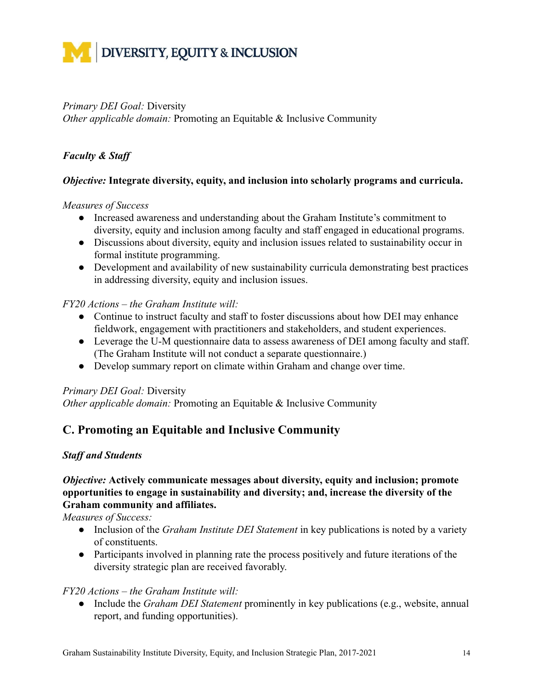

#### *Primary DEI Goal:* Diversity

*Other applicable domain:* Promoting an Equitable & Inclusive Community

#### *Faculty & Staff*

#### *Objective:* **Integrate diversity, equity, and inclusion into scholarly programs and curricula.**

#### *Measures of Success*

- *●* Increased awareness and understanding about the Graham Institute's commitment to diversity, equity and inclusion among faculty and staff engaged in educational programs.
- *●* Discussions about diversity, equity and inclusion issues related to sustainability occur in formal institute programming.
- *●* Development and availability of new sustainability curricula demonstrating best practices in addressing diversity, equity and inclusion issues.

#### *FY20 Actions – the Graham Institute will:*

- Continue to instruct faculty and staff to foster discussions about how DEI may enhance fieldwork, engagement with practitioners and stakeholders, and student experiences.
- Leverage the U-M questionnaire data to assess awareness of DEI among faculty and staff. (The Graham Institute will not conduct a separate questionnaire.)
- Develop summary report on climate within Graham and change over time.

#### *Primary DEI Goal:* Diversity

*Other applicable domain:* Promoting an Equitable & Inclusive Community

# **C. Promoting an Equitable and Inclusive Community**

#### *Staff and Students*

#### *Objective:* **Actively communicate messages about diversity, equity and inclusion; promote opportunities to engage in sustainability and diversity; and, increase the diversity of the Graham community and affiliates.**

*Measures of Success:*

- Inclusion of the *Graham Institute DEI Statement* in key publications is noted by a variety of constituents.
- Participants involved in planning rate the process positively and future iterations of the diversity strategic plan are received favorably.

#### *FY20 Actions – the Graham Institute will:*

● Include the *Graham DEI Statement* prominently in key publications (e.g., website, annual report, and funding opportunities).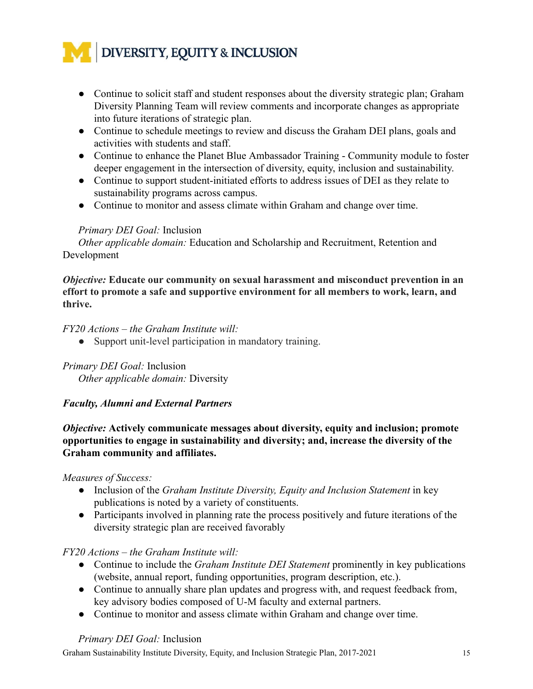

- Continue to solicit staff and student responses about the diversity strategic plan; Graham Diversity Planning Team will review comments and incorporate changes as appropriate into future iterations of strategic plan.
- Continue to schedule meetings to review and discuss the Graham DEI plans, goals and activities with students and staff.
- Continue to enhance the Planet Blue Ambassador Training Community module to foster deeper engagement in the intersection of diversity, equity, inclusion and sustainability.
- Continue to support student-initiated efforts to address issues of DEI as they relate to sustainability programs across campus.
- Continue to monitor and assess climate within Graham and change over time.

#### *Primary DEI Goal:* Inclusion

*Other applicable domain:* Education and Scholarship and Recruitment, Retention and Development

*Objective:* **Educate our community on sexual harassment and misconduct prevention in an effort to promote a safe and supportive environment for all members to work, learn, and thrive.**

*FY20 Actions – the Graham Institute will:*

● Support unit-level participation in mandatory training.

#### *Primary DEI Goal:* Inclusion

*Other applicable domain:* Diversity

#### *Faculty, Alumni and External Partners*

*Objective:* **Actively communicate messages about diversity, equity and inclusion; promote opportunities to engage in sustainability and diversity; and, increase the diversity of the Graham community and affiliates.**

#### *Measures of Success:*

- Inclusion of the *Graham Institute Diversity, Equity and Inclusion Statement* in key publications is noted by a variety of constituents.
- Participants involved in planning rate the process positively and future iterations of the diversity strategic plan are received favorably

#### *FY20 Actions – the Graham Institute will:*

- Continue to include the *Graham Institute DEI Statement* prominently in key publications (website, annual report, funding opportunities, program description, etc.).
- Continue to annually share plan updates and progress with, and request feedback from, key advisory bodies composed of U-M faculty and external partners.
- Continue to monitor and assess climate within Graham and change over time.

#### *Primary DEI Goal:* Inclusion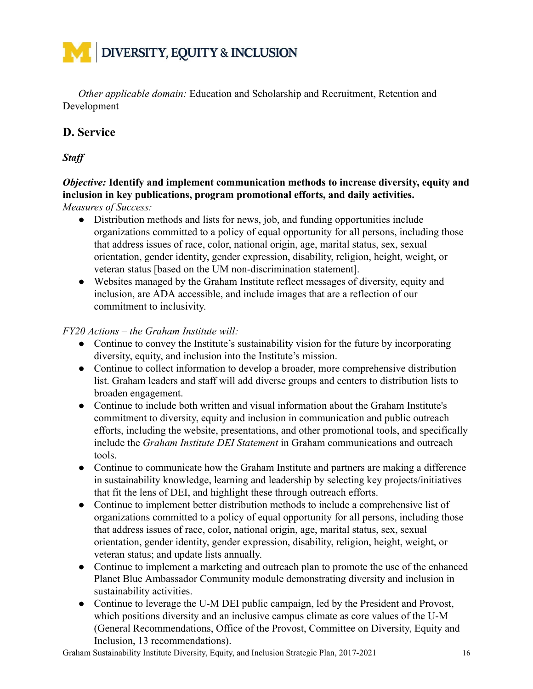# **DIVERSITY, EQUITY & INCLUSION**

*Other applicable domain:* Education and Scholarship and Recruitment, Retention and Development

# **D. Service**

*Staff*

#### *Objective:* **Identify and implement communication methods to increase diversity, equity and inclusion in key publications, program promotional efforts, and daily activities.** *Measures of Success:*

- *●* Distribution methods and lists for news, job, and funding opportunities include organizations committed to a policy of equal opportunity for all persons, including those that address issues of race, color, national origin, age, marital status, sex, sexual orientation, gender identity, gender expression, disability, religion, height, weight, or veteran status [based on the UM non-discrimination statement].
- Websites managed by the Graham Institute reflect messages of diversity, equity and inclusion, are ADA accessible, and include images that are a reflection of our commitment to inclusivity.

#### *FY20 Actions – the Graham Institute will:*

- Continue to convey the Institute's sustainability vision for the future by incorporating diversity, equity, and inclusion into the Institute's mission.
- Continue to collect information to develop a broader, more comprehensive distribution list. Graham leaders and staff will add diverse groups and centers to distribution lists to broaden engagement.
- Continue to include both written and visual information about the Graham Institute's commitment to diversity, equity and inclusion in communication and public outreach efforts, including the website, presentations, and other promotional tools, and specifically include the *Graham Institute DEI Statement* in Graham communications and outreach tools.
- Continue to communicate how the Graham Institute and partners are making a difference in sustainability knowledge, learning and leadership by selecting key projects/initiatives that fit the lens of DEI, and highlight these through outreach efforts.
- *●* Continue to implement better distribution methods to include a comprehensive list of organizations committed to a policy of equal opportunity for all persons, including those that address issues of race, color, national origin, age, marital status, sex, sexual orientation, gender identity, gender expression, disability, religion, height, weight, or veteran status; and update lists annually.
- *●* Continue to implement a marketing and outreach plan to promote the use of the enhanced Planet Blue Ambassador Community module demonstrating diversity and inclusion in sustainability activities.
- Continue to leverage the U-M DEI public campaign, led by the President and Provost, which positions diversity and an inclusive campus climate as core values of the U-M (General Recommendations, Office of the Provost, Committee on Diversity, Equity and Inclusion, 13 recommendations).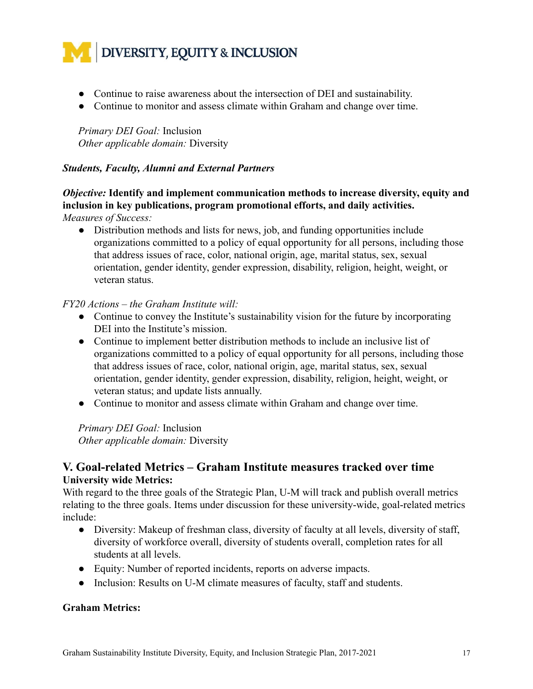

- Continue to raise awareness about the intersection of DEI and sustainability.
- Continue to monitor and assess climate within Graham and change over time.

*Primary DEI Goal:* Inclusion *Other applicable domain:* Diversity

#### *Students, Faculty, Alumni and External Partners*

*Objective:* **Identify and implement communication methods to increase diversity, equity and inclusion in key publications, program promotional efforts, and daily activities.** *Measures of Success:*

*●* Distribution methods and lists for news, job, and funding opportunities include organizations committed to a policy of equal opportunity for all persons, including those that address issues of race, color, national origin, age, marital status, sex, sexual orientation, gender identity, gender expression, disability, religion, height, weight, or veteran status.

#### *FY20 Actions – the Graham Institute will:*

- Continue to convey the Institute's sustainability vision for the future by incorporating DEI into the Institute's mission.
- *●* Continue to implement better distribution methods to include an inclusive list of organizations committed to a policy of equal opportunity for all persons, including those that address issues of race, color, national origin, age, marital status, sex, sexual orientation, gender identity, gender expression, disability, religion, height, weight, or veteran status; and update lists annually.
- *●* Continue to monitor and assess climate within Graham and change over time.

*Primary DEI Goal:* Inclusion *Other applicable domain:* Diversity

#### **V. Goal-related Metrics – Graham Institute measures tracked over time University wide Metrics:**

With regard to the three goals of the Strategic Plan, U-M will track and publish overall metrics relating to the three goals. Items under discussion for these university-wide, goal-related metrics include:

- Diversity: Makeup of freshman class, diversity of faculty at all levels, diversity of staff, diversity of workforce overall, diversity of students overall, completion rates for all students at all levels.
- Equity: Number of reported incidents, reports on adverse impacts.
- Inclusion: Results on U-M climate measures of faculty, staff and students.

#### **Graham Metrics:**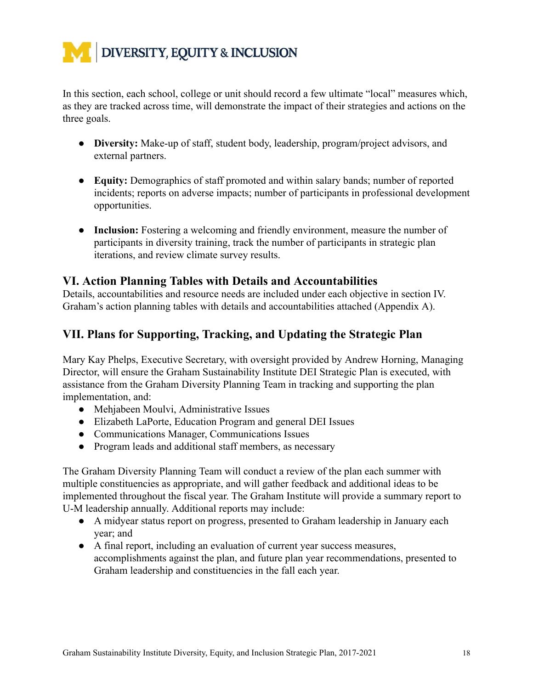

In this section, each school, college or unit should record a few ultimate "local" measures which, as they are tracked across time, will demonstrate the impact of their strategies and actions on the three goals.

- **● Diversity:** Make-up of staff, student body, leadership, program/project advisors, and external partners.
- **Equity:** Demographics of staff promoted and within salary bands; number of reported incidents; reports on adverse impacts; number of participants in professional development opportunities.
- **Inclusion:** Fostering a welcoming and friendly environment, measure the number of participants in diversity training, track the number of participants in strategic plan iterations, and review climate survey results.

# **VI. Action Planning Tables with Details and Accountabilities**

Details, accountabilities and resource needs are included under each objective in section IV. Graham's action planning tables with details and accountabilities attached (Appendix A).

# **VII. Plans for Supporting, Tracking, and Updating the Strategic Plan**

Mary Kay Phelps, Executive Secretary, with oversight provided by Andrew Horning, Managing Director, will ensure the Graham Sustainability Institute DEI Strategic Plan is executed, with assistance from the Graham Diversity Planning Team in tracking and supporting the plan implementation, and:

- Mehjabeen Moulvi, Administrative Issues
- Elizabeth LaPorte, Education Program and general DEI Issues
- Communications Manager, Communications Issues
- Program leads and additional staff members, as necessary

The Graham Diversity Planning Team will conduct a review of the plan each summer with multiple constituencies as appropriate, and will gather feedback and additional ideas to be implemented throughout the fiscal year. The Graham Institute will provide a summary report to U-M leadership annually. Additional reports may include:

- A midyear status report on progress, presented to Graham leadership in January each year; and
- A final report, including an evaluation of current year success measures, accomplishments against the plan, and future plan year recommendations, presented to Graham leadership and constituencies in the fall each year.